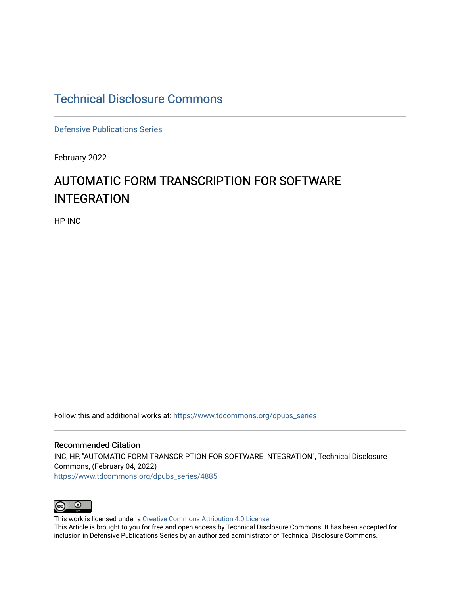## [Technical Disclosure Commons](https://www.tdcommons.org/)

[Defensive Publications Series](https://www.tdcommons.org/dpubs_series)

February 2022

## AUTOMATIC FORM TRANSCRIPTION FOR SOFTWARE INTEGRATION

HP INC

Follow this and additional works at: [https://www.tdcommons.org/dpubs\\_series](https://www.tdcommons.org/dpubs_series?utm_source=www.tdcommons.org%2Fdpubs_series%2F4885&utm_medium=PDF&utm_campaign=PDFCoverPages) 

Recommended Citation INC, HP, "AUTOMATIC FORM TRANSCRIPTION FOR SOFTWARE INTEGRATION", Technical Disclosure Commons, (February 04, 2022) [https://www.tdcommons.org/dpubs\\_series/4885](https://www.tdcommons.org/dpubs_series/4885?utm_source=www.tdcommons.org%2Fdpubs_series%2F4885&utm_medium=PDF&utm_campaign=PDFCoverPages)



This work is licensed under a [Creative Commons Attribution 4.0 License](http://creativecommons.org/licenses/by/4.0/deed.en_US).

This Article is brought to you for free and open access by Technical Disclosure Commons. It has been accepted for inclusion in Defensive Publications Series by an authorized administrator of Technical Disclosure Commons.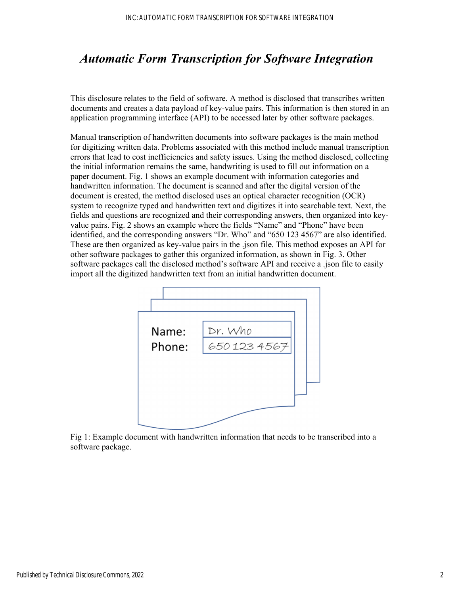## *Automatic Form Transcription for Software Integration*

This disclosure relates to the field of software. A method is disclosed that transcribes written documents and creates a data payload of key-value pairs. This information is then stored in an application programming interface (API) to be accessed later by other software packages.

Manual transcription of handwritten documents into software packages is the main method for digitizing written data. Problems associated with this method include manual transcription errors that lead to cost inefficiencies and safety issues. Using the method disclosed, collecting the initial information remains the same, handwriting is used to fill out information on a paper document. Fig. 1 shows an example document with information categories and handwritten information. The document is scanned and after the digital version of the document is created, the method disclosed uses an optical character recognition (OCR) system to recognize typed and handwritten text and digitizes it into searchable text. Next, the fields and questions are recognized and their corresponding answers, then organized into keyvalue pairs. Fig. 2 shows an example where the fields "Name" and "Phone" have been identified, and the corresponding answers "Dr. Who" and "650 123 4567" are also identified. These are then organized as key-value pairs in the .json file. This method exposes an API for other software packages to gather this organized information, as shown in Fig. 3. Other software packages call the disclosed method's software API and receive a .json file to easily import all the digitized handwritten text from an initial handwritten document.



Fig 1: Example document with handwritten information that needs to be transcribed into a software package.